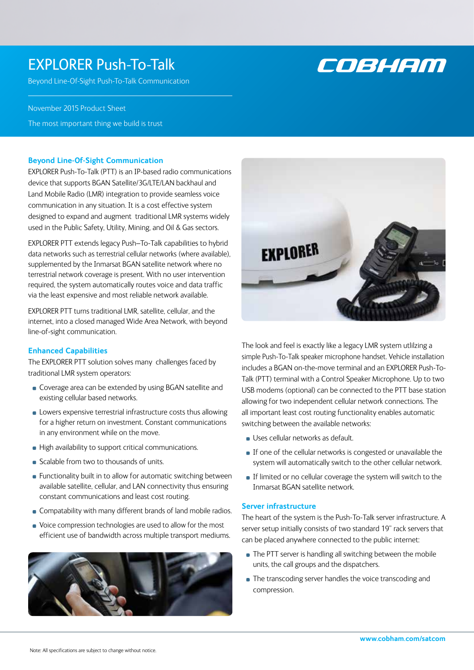# EXPLORER Push-To-Talk

Beyond Line-Of-Sight Push-To-Talk Communication

COBHEM

November 2015 Product Sheet

The most important thing we build is trust

## **Beyond Line-Of-Sight Communication**

EXPLORER Push-To-Talk (PTT) is an IP-based radio communications device that supports BGAN Satellite/3G/LTE/LAN backhaul and Land Mobile Radio (LMR) integration to provide seamless voice communication in any situation. It is a cost effective system designed to expand and augment traditional LMR systems widely used in the Public Safety, Utility, Mining, and Oil & Gas sectors.

EXPLORER PTT extends legacy Push–To-Talk capabilities to hybrid data networks such as terrestrial cellular networks (where available), supplemented by the Inmarsat BGAN satellite network where no terrestrial network coverage is present. With no user intervention required, the system automatically routes voice and data traffic via the least expensive and most reliable network available.

EXPLORER PTT turns traditional LMR, satellite, cellular, and the internet, into a closed managed Wide Area Network, with beyond line-of-sight communication.

## **Enhanced Capabilities**

The EXPLORER PTT solution solves many challenges faced by traditional LMR system operators:

- **Coverage area can be extended by using BGAN satellite and** existing cellular based networks.
- **Lowers expensive terrestrial infrastructure costs thus allowing** for a higher return on investment. Constant communications in any environment while on the move.
- **High availability to support critical communications.**
- Scalable from two to thousands of units.
- **Functionality built in to allow for automatic switching between** available satellite, cellular, and LAN connectivity thus ensuring constant communications and least cost routing.
- **Compatability with many different brands of land mobile radios.**
- Voice compression technologies are used to allow for the most efficient use of bandwidth across multiple transport mediums.





The look and feel is exactly like a legacy LMR system utlilzing a simple Push-To-Talk speaker microphone handset. Vehicle installation includes a BGAN on-the-move terminal and an EXPLORER Push-To-Talk (PTT) terminal with a Control Speaker Microphone. Up to two USB modems (optional) can be connected to the PTT base station allowing for two independent cellular network connections. The all important least cost routing functionality enables automatic switching between the available networks:

- **Uses cellular networks as default.**
- If one of the cellular networks is congested or unavailable the system will automatically switch to the other cellular network.
- If limited or no cellular coverage the system will switch to the Inmarsat BGAN satellite network.

### **Server infrastructure**

The heart of the system is the Push-To-Talk server infrastructure. A server setup initially consists of two standard 19" rack servers that can be placed anywhere connected to the public internet:

- The PTT server is handling all switching between the mobile units, the call groups and the dispatchers.
- **The transcoding server handles the voice transcoding and** compression.